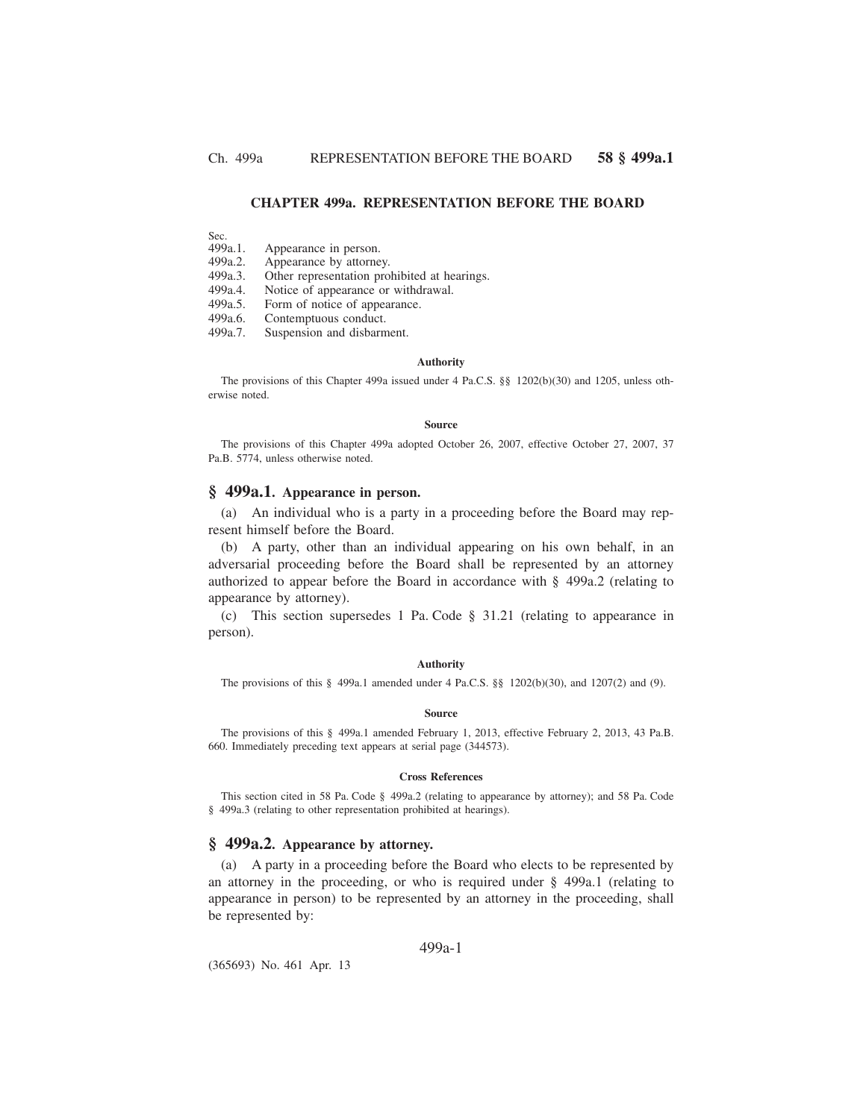## **CHAPTER 499a. REPRESENTATION BEFORE THE BOARD**

Sec.<br>499a.1. Appearance in person.

499a.2. Appearance by attorney.

499a.3. Other representation prohibited at hearings.

499a.4. Notice of appearance or withdrawal.<br>499a.5. Form of notice of appearance.

499a.5. Form of notice of appearance.<br>499a.6. Contemptuous conduct.

499a.6. Contemptuous conduct.<br>499a.7. Suspension and disbarn

Suspension and disbarment.

### **Authority**

The provisions of this Chapter 499a issued under 4 Pa.C.S. §§ 1202(b)(30) and 1205, unless otherwise noted.

#### **Source**

The provisions of this Chapter 499a adopted October 26, 2007, effective October 27, 2007, 37 Pa.B. 5774, unless otherwise noted.

## **§ 499a.1. Appearance in person.**

(a) An individual who is a party in a proceeding before the Board may represent himself before the Board.

(b) A party, other than an individual appearing on his own behalf, in an adversarial proceeding before the Board shall be represented by an attorney authorized to appear before the Board in accordance with § 499a.2 (relating to appearance by attorney).

(c) This section supersedes 1 Pa. Code § 31.21 (relating to appearance in person).

### **Authority**

The provisions of this § 499a.1 amended under 4 Pa.C.S. §§ 1202(b)(30), and 1207(2) and (9).

### **Source**

The provisions of this § 499a.1 amended February 1, 2013, effective February 2, 2013, 43 Pa.B. 660. Immediately preceding text appears at serial page (344573).

#### **Cross References**

This section cited in 58 Pa. Code § 499a.2 (relating to appearance by attorney); and 58 Pa. Code § 499a.3 (relating to other representation prohibited at hearings).

## **§ 499a.2. Appearance by attorney.**

(a) A party in a proceeding before the Board who elects to be represented by an attorney in the proceeding, or who is required under § 499a.1 (relating to appearance in person) to be represented by an attorney in the proceeding, shall be represented by:

### 499a-1

(365693) No. 461 Apr. 13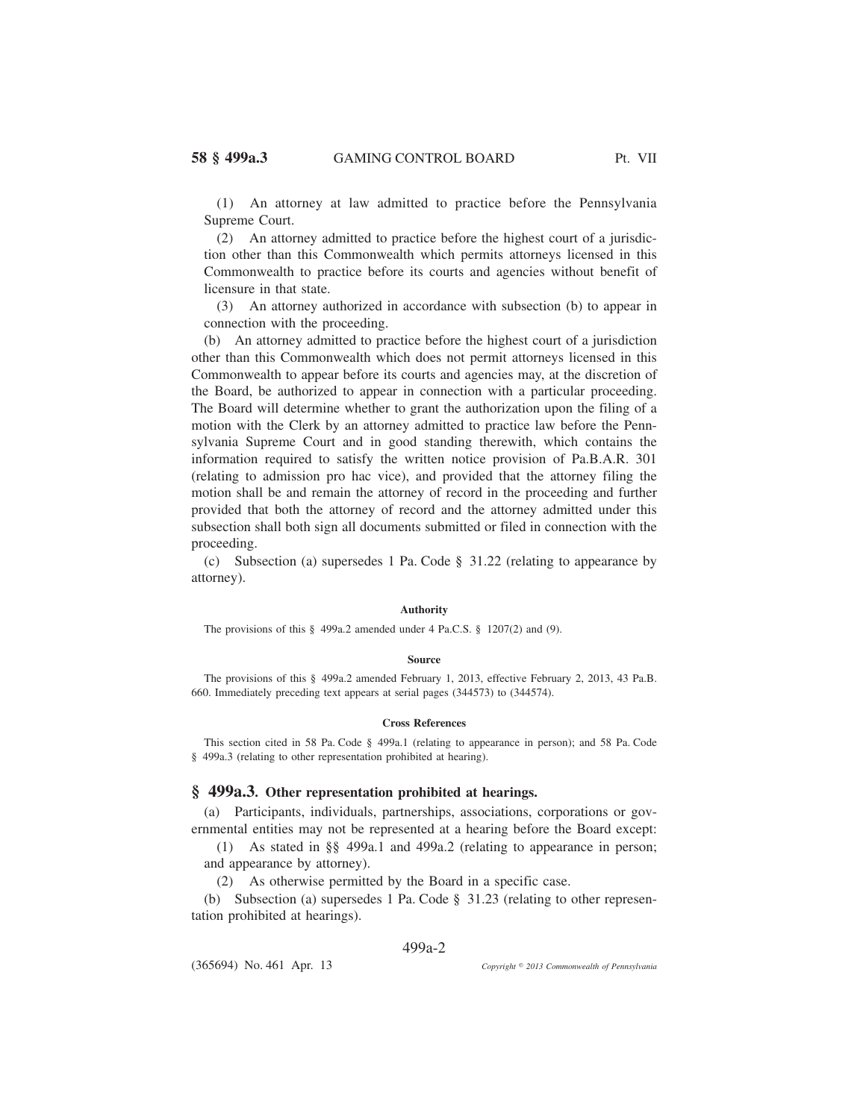(1) An attorney at law admitted to practice before the Pennsylvania Supreme Court.

(2) An attorney admitted to practice before the highest court of a jurisdiction other than this Commonwealth which permits attorneys licensed in this Commonwealth to practice before its courts and agencies without benefit of licensure in that state.

(3) An attorney authorized in accordance with subsection (b) to appear in connection with the proceeding.

(b) An attorney admitted to practice before the highest court of a jurisdiction other than this Commonwealth which does not permit attorneys licensed in this Commonwealth to appear before its courts and agencies may, at the discretion of the Board, be authorized to appear in connection with a particular proceeding. The Board will determine whether to grant the authorization upon the filing of a motion with the Clerk by an attorney admitted to practice law before the Pennsylvania Supreme Court and in good standing therewith, which contains the information required to satisfy the written notice provision of Pa.B.A.R. 301 (relating to admission pro hac vice), and provided that the attorney filing the motion shall be and remain the attorney of record in the proceeding and further provided that both the attorney of record and the attorney admitted under this subsection shall both sign all documents submitted or filed in connection with the proceeding.

(c) Subsection (a) supersedes 1 Pa. Code § 31.22 (relating to appearance by attorney).

#### **Authority**

The provisions of this § 499a.2 amended under 4 Pa.C.S. § 1207(2) and (9).

#### **Source**

The provisions of this § 499a.2 amended February 1, 2013, effective February 2, 2013, 43 Pa.B. 660. Immediately preceding text appears at serial pages (344573) to (344574).

### **Cross References**

This section cited in 58 Pa. Code § 499a.1 (relating to appearance in person); and 58 Pa. Code § 499a.3 (relating to other representation prohibited at hearing).

## **§ 499a.3. Other representation prohibited at hearings.**

(a) Participants, individuals, partnerships, associations, corporations or governmental entities may not be represented at a hearing before the Board except:

(1) As stated in §§ 499a.1 and 499a.2 (relating to appearance in person; and appearance by attorney).

(2) As otherwise permitted by the Board in a specific case.

(b) Subsection (a) supersedes 1 Pa. Code § 31.23 (relating to other representation prohibited at hearings).

## 499a-2

(365694) No. 461 Apr. 13

*2013 Commonwealth of Pennsylvania*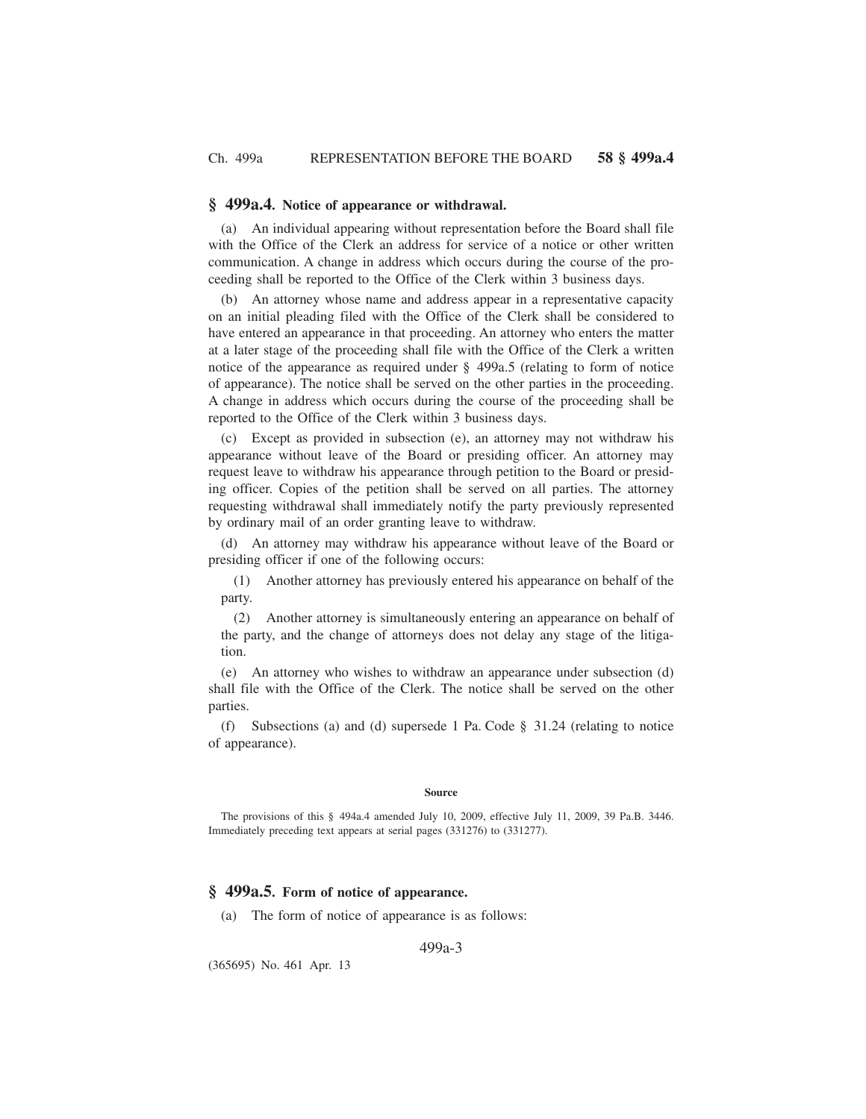## **§ 499a.4. Notice of appearance or withdrawal.**

(a) An individual appearing without representation before the Board shall file with the Office of the Clerk an address for service of a notice or other written communication. A change in address which occurs during the course of the proceeding shall be reported to the Office of the Clerk within 3 business days.

(b) An attorney whose name and address appear in a representative capacity on an initial pleading filed with the Office of the Clerk shall be considered to have entered an appearance in that proceeding. An attorney who enters the matter at a later stage of the proceeding shall file with the Office of the Clerk a written notice of the appearance as required under § 499a.5 (relating to form of notice of appearance). The notice shall be served on the other parties in the proceeding. A change in address which occurs during the course of the proceeding shall be reported to the Office of the Clerk within 3 business days.

(c) Except as provided in subsection (e), an attorney may not withdraw his appearance without leave of the Board or presiding officer. An attorney may request leave to withdraw his appearance through petition to the Board or presiding officer. Copies of the petition shall be served on all parties. The attorney requesting withdrawal shall immediately notify the party previously represented by ordinary mail of an order granting leave to withdraw.

(d) An attorney may withdraw his appearance without leave of the Board or presiding officer if one of the following occurs:

(1) Another attorney has previously entered his appearance on behalf of the party.

(2) Another attorney is simultaneously entering an appearance on behalf of the party, and the change of attorneys does not delay any stage of the litigation.

(e) An attorney who wishes to withdraw an appearance under subsection (d) shall file with the Office of the Clerk. The notice shall be served on the other parties.

(f) Subsections (a) and (d) supersede 1 Pa. Code § 31.24 (relating to notice of appearance).

#### **Source**

The provisions of this § 494a.4 amended July 10, 2009, effective July 11, 2009, 39 Pa.B. 3446. Immediately preceding text appears at serial pages (331276) to (331277).

# **§ 499a.5. Form of notice of appearance.**

(a) The form of notice of appearance is as follows:

### 499a-3

(365695) No. 461 Apr. 13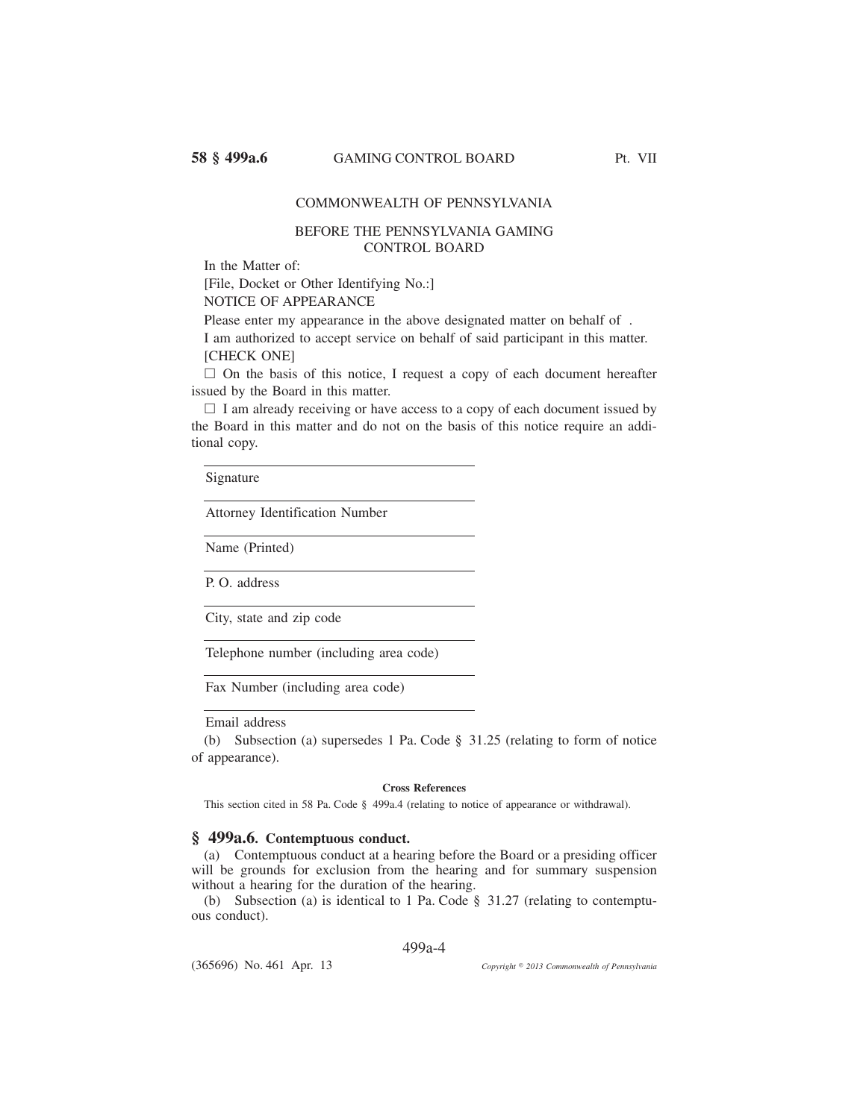# COMMONWEALTH OF PENNSYLVANIA

# BEFORE THE PENNSYLVANIA GAMING CONTROL BOARD

In the Matter of:

[File, Docket or Other Identifying No.:] NOTICE OF APPEARANCE

Please enter my appearance in the above designated matter on behalf of .

I am authorized to accept service on behalf of said participant in this matter. [CHECK ONE]

□ On the basis of this notice, I request a copy of each document hereafter issued by the Board in this matter.

□ I am already receiving or have access to a copy of each document issued by the Board in this matter and do not on the basis of this notice require an additional copy.

Signature

Attorney Identification Number

Name (Printed)

P. O. address

City, state and zip code

Telephone number (including area code)

Fax Number (including area code)

# Email address

(b) Subsection (a) supersedes 1 Pa. Code § 31.25 (relating to form of notice of appearance).

#### **Cross References**

This section cited in 58 Pa. Code § 499a.4 (relating to notice of appearance or withdrawal).

## **§ 499a.6. Contemptuous conduct.**

(a) Contemptuous conduct at a hearing before the Board or a presiding officer will be grounds for exclusion from the hearing and for summary suspension without a hearing for the duration of the hearing.

(b) Subsection (a) is identical to 1 Pa. Code § 31.27 (relating to contemptuous conduct).

### 499a-4

(365696) No. 461 Apr. 13

*2013 Commonwealth of Pennsylvania*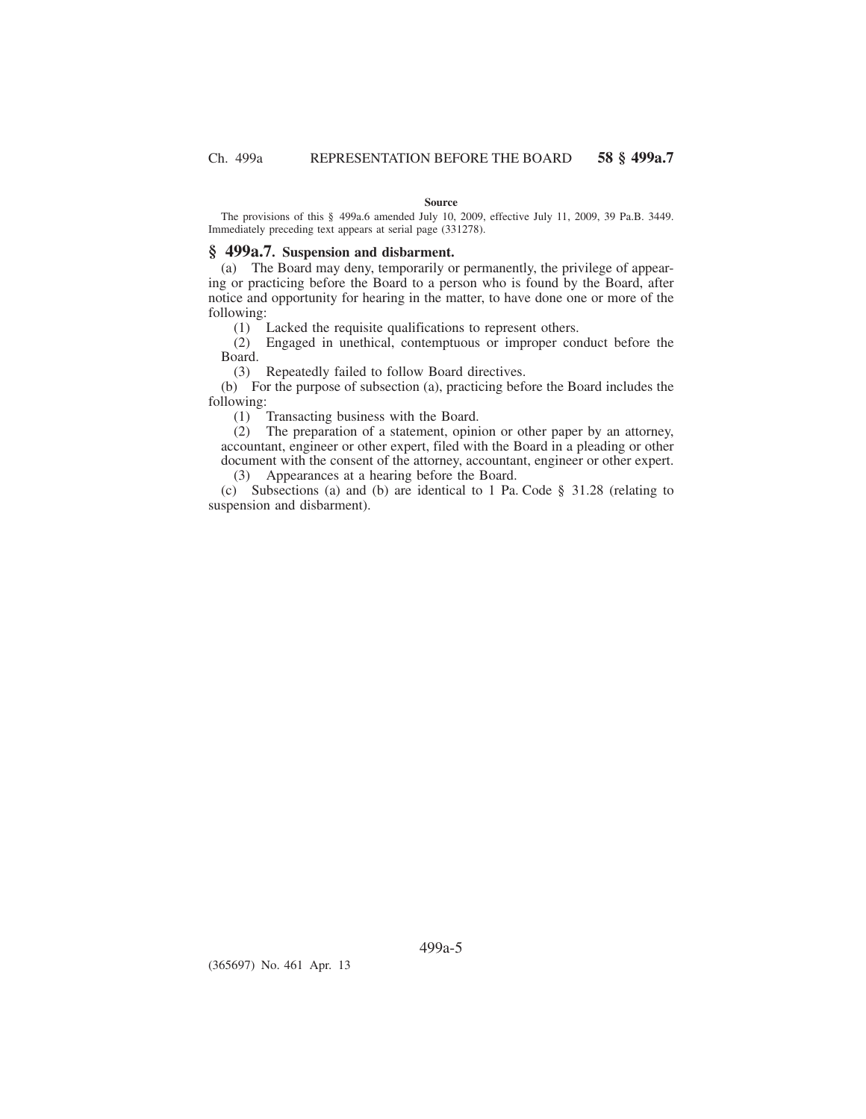#### **Source**

The provisions of this § 499a.6 amended July 10, 2009, effective July 11, 2009, 39 Pa.B. 3449. Immediately preceding text appears at serial page (331278).

## **§ 499a.7. Suspension and disbarment.**

(a) The Board may deny, temporarily or permanently, the privilege of appearing or practicing before the Board to a person who is found by the Board, after notice and opportunity for hearing in the matter, to have done one or more of the following:

(1) Lacked the requisite qualifications to represent others.

(2) Engaged in unethical, contemptuous or improper conduct before the Board.

(3) Repeatedly failed to follow Board directives.

(b) For the purpose of subsection (a), practicing before the Board includes the following:

(1) Transacting business with the Board.

(2) The preparation of a statement, opinion or other paper by an attorney, accountant, engineer or other expert, filed with the Board in a pleading or other document with the consent of the attorney, accountant, engineer or other expert.

(3) Appearances at a hearing before the Board.

(c) Subsections (a) and (b) are identical to 1 Pa. Code § 31.28 (relating to suspension and disbarment).

(365697) No. 461 Apr. 13

499a-5